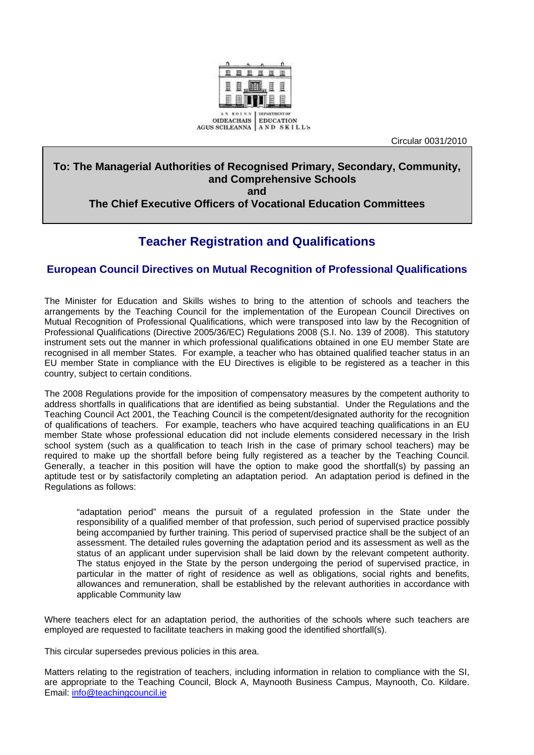

Circular 0031/2010

## **To: The Managerial Authorities of Recognised Primary, Secondary, Community, and Comprehensive Schools and**

## **The Chief Executive Officers of Vocational Education Committees**

## **Teacher Registration and Qualifications**

## **European Council Directives on Mutual Recognition of Professional Qualifications**

The Minister for Education and Skills wishes to bring to the attention of schools and teachers the arrangements by the Teaching Council for the implementation of the European Council Directives on Mutual Recognition of Professional Qualifications, which were transposed into law by the Recognition of Professional Qualifications (Directive 2005/36/EC) Regulations 2008 (S.I. No. 139 of 2008). This statutory instrument sets out the manner in which professional qualifications obtained in one EU member State are recognised in all member States. For example, a teacher who has obtained qualified teacher status in an EU member State in compliance with the EU Directives is eligible to be registered as a teacher in this country, subject to certain conditions.

The 2008 Regulations provide for the imposition of compensatory measures by the competent authority to address shortfalls in qualifications that are identified as being substantial. Under the Regulations and the Teaching Council Act 2001, the Teaching Council is the competent/designated authority for the recognition of qualifications of teachers. For example, teachers who have acquired teaching qualifications in an EU member State whose professional education did not include elements considered necessary in the Irish school system (such as a qualification to teach Irish in the case of primary school teachers) may be required to make up the shortfall before being fully registered as a teacher by the Teaching Council. Generally, a teacher in this position will have the option to make good the shortfall(s) by passing an aptitude test or by satisfactorily completing an adaptation period. An adaptation period is defined in the Regulations as follows:

"adaptation period" means the pursuit of a regulated profession in the State under the responsibility of a qualified member of that profession, such period of supervised practice possibly being accompanied by further training. This period of supervised practice shall be the subject of an assessment. The detailed rules governing the adaptation period and its assessment as well as the status of an applicant under supervision shall be laid down by the relevant competent authority. The status enjoyed in the State by the person undergoing the period of supervised practice, in particular in the matter of right of residence as well as obligations, social rights and benefits, allowances and remuneration, shall be established by the relevant authorities in accordance with applicable Community law

Where teachers elect for an adaptation period, the authorities of the schools where such teachers are employed are requested to facilitate teachers in making good the identified shortfall(s).

This circular supersedes previous policies in this area.

Matters relating to the registration of teachers, including information in relation to compliance with the SI, are appropriate to the Teaching Council, Block A, Maynooth Business Campus, Maynooth, Co. Kildare. Email: [info@teachingcouncil.ie](mailto:info@teachingcouncil.ie)